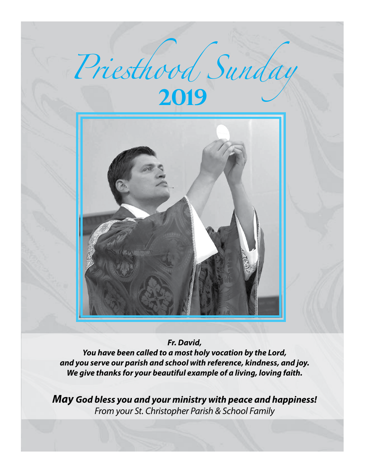

*Fr. David,* 

*You have been called to a most holy vocation by the Lord, and you serve our parish and school with reference, kindness, and joy. We give thanks for your beautiful example of a living, loving faith.*

*May God bless you and your ministry with peace and happiness! From your St. Christopher Parish & School Family*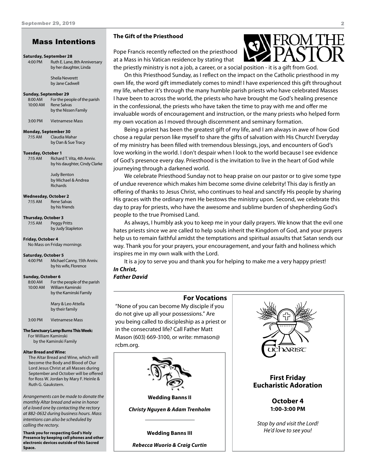# Mass Intentions

#### **Saturday, September 28**

4:00 PM Ruth E. Lane, 8th Anniversary by her daughter, Linda

> Sheila Neverett by Jane Cadwell

#### **Sunday, September 29**

8:00 AM For the people of the parish 10:00 AM Rene Salvas by the Nissen Family

3:00 PM Vietnamese Mass

#### **Monday, September 30**

7:15 AM Claudia Mahar by Dan & Sue Tracy

#### **Tuesday, October 1**

7:15 AM Richard T. Vita, 4th Anniv. by his daughter, Cindy Clarke

> Judy Benton by Michael & Andrea Richards

**Wednesday, October 2** 7:15 AM Rene Salvas by his friends

**Thursday, October 3** 7:15 AM Peggy Pritts by Judy Stapleton

**Friday, October 4** No Mass on Friday mornings

#### **Saturday, October 5**

4:00 PM Michael Canny, 15th Anniv. by his wife, Florence

**Sunday, October 6**

8:00 AM For the people of the parish 10:00 AM William Kaminski by the Kaminski Family

> Mary & Leo Attella by their family

3:00 PM Vietnamese Mass

**The Sanctuary Lamp Burns This Week:** For William Kaminski

by the Kaminski Family

#### **Altar Bread and Wine:**

The Altar Bread and Wine, which will become the Body and Blood of Our Lord Jesus Christ at all Masses during September and October will be offered for Ross W. Jordan by Mary F. Heinle & Ruth G. Gaukstern.

*Arrangements can be made to donate the monthly Altar bread and wine in honor of a loved one by contacting the rectory at 882-0632 during business hours. Mass intentions can also be scheduled by calling the rectory.* 

**Thank you for respecting God's Holy Presence by keeping cell phones and other electronic devices outside of this Sacred Space.**

#### **The Gift of the Priesthood**

Pope Francis recently reflected on the priesthood at a Mass in his Vatican residence by stating that the priestly ministry is not a job, a career, or a social position - it is a gift from God.

On this Priesthood Sunday, as I reflect on the impact on the Catholic priesthood in my own life, the word gift immediately comes to mind! I have experienced this gift throughout my life, whether it's through the many humble parish priests who have celebrated Masses I have been to across the world, the priests who have brought me God's healing presence in the confessional, the priests who have taken the time to pray with me and offer me invaluable words of encouragement and instruction, or the many priests who helped form my own vocation as I moved through discernment and seminary formation.

Being a priest has been the greatest gift of my life, and I am always in awe of how God chose a regular person like myself to share the gifts of salvation with His Church! Everyday of my ministry has been filled with tremendous blessings, joys, and encounters of God's love working in the world. I don't despair when I look to the world because I see evidence of God's presence every day. Priesthood is the invitation to live in the heart of God while journeying through a darkened world.

We celebrate Priesthood Sunday not to heap praise on our pastor or to give some type of undue reverence which makes him become some divine celebrity! This day is firstly an offering of thanks to Jesus Christ, who continues to heal and sanctify His people by sharing His graces with the ordinary men He bestows the ministry upon. Second, we celebrate this day to pray for priests, who have the awesome and sublime burden of shepherding God's people to the true Promised Land.

As always, I humbly ask you to keep me in your daily prayers. We know that the evil one hates priests since we are called to help souls inherit the Kingdom of God, and your prayers help us to remain faithful amidst the temptations and spiritual assaults that Satan sends our way. Thank you for your prayers, your encouragement, and your faith and holiness which inspires me in my own walk with the Lord.

It is a joy to serve you and thank you for helping to make me a very happy priest! *In Christ,*

*Father David*

# **For Vocations** "None of you can become My disciple if you do not give up all your possessions." Are you being called to discipleship as a priest or in the consecrated life? Call Father Matt Mason (603) 669-3100, or write: mmason@ rcbm.org.



*Christy Nguyen & Adam Trenholm*

**Wedding Banns III**

*Rebecca Wuorio & Craig Curtin*

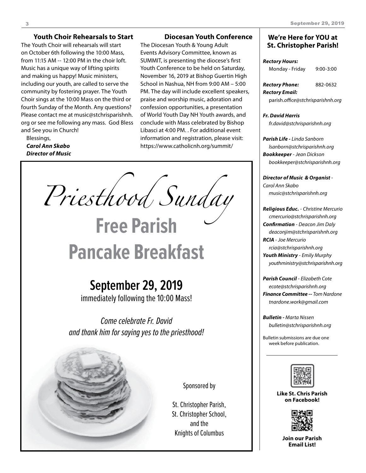# **Youth Choir Rehearsals to Start**

The Youth Choir will rehearsals will start on October 6th following the 10:00 Mass, from 11:15 AM -- 12:00 PM in the choir loft. Music has a unique way of lifting spirits and making us happy! Music ministers, including our youth, are called to serve the community by fostering prayer. The Youth Choir sings at the 10:00 Mass on the third or fourth Sunday of the Month. Any questions? Please contact me at music@stchrisparishnh. org or see me following any mass. God Bless and See you in Church!

Blessings, *Carol Ann Skabo Director of Music*

# **Diocesan Youth Conference**

The Diocesan Youth & Young Adult Events Advisory Committee, known as SUMMIT, is presenting the diocese's first Youth Conference to be held on Saturday, November 16, 2019 at Bishop Guertin High School in Nashua, NH from 9:00 AM – 5:00 PM. The day will include excellent speakers, praise and worship music, adoration and confession opportunities, a presentation of World Youth Day NH Youth awards, and conclude with Mass celebrated by Bishop Libasci at 4:00 PM. . For additional event information and registration, please visit: https://www.catholicnh.org/summit/

*Priesthood Sunday*

# **Pancake Breakfast**

**Free Parish**

# **September 29, 2019**

immediately following the 10:00 Mass!

Come celebrate Fr. David and thank him for saying yes to the priesthood!



Sponsored by

St. Christopher Parish, St. Christopher School, and the Knights of Columbus

# **We're Here for YOU at St. Christopher Parish!**

### *Rectory Hours:* Monday - Friday 9:00-3:00

| Rectory Phone:                    | 882-0632 |
|-----------------------------------|----------|
| Rectory Email:                    |          |
| parish.office@stchrisparishnh.org |          |

#### *Fr. David Harris*

*fr.david@stchrisparishnh.org*

# *Parish Life - Linda Sanborn lsanborn@stchrisparishnh.org Bookkeeper* - *Jean Dickson bookkeeper@stchrisparishnh.org*

*Director of Music & Organist* - *Carol Ann Skabo music@stchrisparishnh.org*

# *Religious Educ.* - *Christine Mercurio cmercurio@stchrisparishnh.org Confirmation* - *Deacon Jim Daly*

*deaconjim@stchrisparishnh.org RCIA* - *Joe Mercurio rcia@stchrisparishnh.org*

*Youth Ministry* - *Emily Murphy youthministry@stchrisparishnh.org*

*Parish Council* - *Elizabeth Cote ecote@stchrisparishnh.org Finance Committee -- Tom Nardone tnardone.work@gmail.com*

*Bulletin - Marta Nissen bulletin@stchrisparishnh.org*

Bulletin submissions are due one week before publication.



**Like St. Chris Parish on Facebook!**



**Join our Parish Email List!**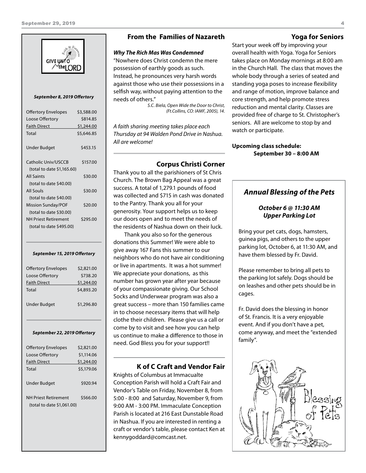

#### *September 8, 2019 Offertory*

| <b>Offertory Envelopes</b> | \$3,588.00 |
|----------------------------|------------|
| Loose Offertory            | \$814.85   |
| <b>Faith Direct</b>        | \$1,244.00 |
| Total                      | \$5,646.85 |
|                            |            |
| Under Budget               | \$453.15   |
|                            |            |
| Catholic Univ/USCCB        | \$157.00   |
| (total to date \$1,165.60) |            |
| <b>All Saints</b>          | \$30.00    |
| (total to date \$40.00)    |            |
| All Souls                  | \$30.00    |
| (total to date \$40.00)    |            |
| <b>Mission Sunday/POF</b>  | \$20.00    |
| (total to date \$30.00)    |            |
| NH Priest Retirement       | \$295.00   |
| (total to date \$495.00)   |            |
|                            |            |

#### *September 15, 2019 Offertory*

| <b>Offertory Envelopes</b> | \$2,821.00 |
|----------------------------|------------|
| Loose Offertory            | \$738.20   |
| <b>Faith Direct</b>        | \$1,244.00 |
| Total                      | \$4,893.20 |
| <b>Under Budget</b>        | \$1,296.80 |

#### *September 22, 2019 Offertory*

| <b>Offertory Envelopes</b>                                | \$2,821.00 |
|-----------------------------------------------------------|------------|
| Loose Offertory                                           | \$1,114.06 |
| <b>Faith Direct</b>                                       | \$1,244.00 |
| Total                                                     | \$5,179.06 |
|                                                           |            |
| Under Budget                                              | \$920.94   |
| <b>NH Priest Retirement</b><br>(total to date \$1,061.00) | \$566.00   |

# **From the Families of Nazareth**

#### *Why The Rich Mas Was Condemned*

"Nowhere does Christ condemn the mere possession of earthly goods as such. Instead, he pronounces very harsh words against those who use their possessions in a selfish way, without paying attention to the needs of others."

*S.C. Biela, Open Wide the Door to Christ, (Ft.Collins, CO: IAMF, 2005), 14.*

*A faith sharing meeting takes place each Thursday at 94 Walden Pond Drive in Nashua. All are welcome!*

# **Corpus Christi Corner**

Thank you to all the parishioners of St Chris Church. The Brown Bag Appeal was a great success. A total of 1,279.1 pounds of food was collected and \$715 in cash was donated to the Pantry. Thank you all for your generosity. Your support helps us to keep our doors open and to meet the needs of the residents of Nashua down on their luck.

Thank you also so for the generous donations this Summer! We were able to give away 167 Fans this summer to our neighbors who do not have air conditioning or live in apartments. It was a hot summer! We appreciate your donations, as this number has grown year after year because of your compassionate giving. Our School Socks and Underwear program was also a great success – more than 150 families came in to choose necessary items that will help clothe their children. Please give us a call or come by to visit and see how you can help us continue to make a difference to those in need. God Bless you for your support!!

# **K of C Craft and Vendor Fair**

Knights of Columbus at Immacualte Conception Parish will hold a Craft Fair and Vendor's Table on Friday, November 8, from 5:00 - 8:00 and Saturday, November 9, from 9:00 AM - 3:00 PM. Immaculate Conception Parish is located at 216 East Dunstable Road in Nashua. If you are interested in renting a craft or vendor's table, please contact Ken at kennygoddard@comcast.net.

# **Yoga for Seniors**

Start your week off by improving your overall health with Yoga. Yoga for Seniors takes place on Monday mornings at 8:00 am in the Church Hall. The class that moves the whole body through a series of seated and standing yoga poses to increase flexibility and range of motion, improve balance and core strength, and help promote stress reduction and mental clarity. Classes are provided free of charge to St. Christopher's seniors. All are welcome to stop by and watch or participate.

**Upcoming class schedule: September 30 – 8:00 AM**

# *Annual Blessing of the Pets*

# *October 6 @ 11:30 AM Upper Parking Lot*

Bring your pet cats, dogs, hamsters, guinea pigs, and others to the upper parking lot, October 6, at 11:30 AM, and have them blessed by Fr. David.

Please remember to bring all pets to the parking lot safely. Dogs should be on leashes and other pets should be in cages.

Fr. David does the blessing in honor of St. Francis. It is a very enjoyable event. And if you don't have a pet, come anyway, and meet the "extended family".

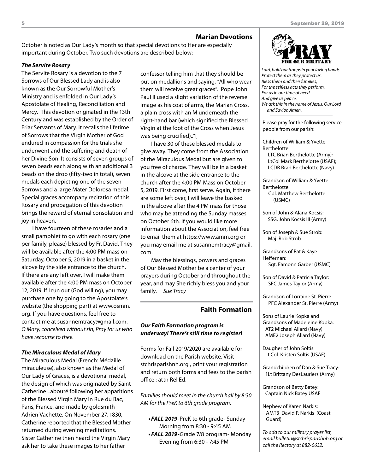#### **Marian Devotions**

October is noted as Our Lady's month so that special devotions to Her are especially important during October. Two such devotions are described below:

#### *The Servite Rosary*

The Servite Rosary is a devotion to the 7 Sorrows of Our Blessed Lady and is also known as the Our Sorrowful Mother's Ministry and is enfolded in Our Lady's Apostolate of Healing, Reconciliation and Mercy. This devotion originated in the 13th Century and was established by the Order of Friar Servants of Mary. It recalls the lifetime of Sorrows that the Virgin Mother of God endured in compassion for the trials she underwent and the suffering and death of her Divine Son. It consists of seven groups of seven beads each along with an additional 3 beads on the drop (fifty-two in total), seven medals each depicting one of the seven Sorrows and a large Mater Dolorosa medal. Special graces accompany recitation of this Rosary and propagation of this devotion brings the reward of eternal consolation and joy in heaven.

I have fourteen of these rosaries and a small pamphlet to go with each rosary (one per family, please) blessed by Fr. David. They will be available after the 4:00 PM mass on Saturday, October 5, 2019 in a basket in the alcove by the side entrance to the church. If there are any left over, I will make them available after the 4:00 PM mass on October 12, 2019. If I run out (God willing), you may purchase one by going to the Apostolate's website (the shopping part) at www.osmm. org. If you have questions, feel free to contact me at susannemtracy@gmail.com. *O Mary, conceived without sin, Pray for us who have recourse to thee.* 

#### *The Miraculous Medal of Mary*

The Miraculous Medal (French: Médaille miraculeuse), also known as the Medal of Our Lady of Graces, is a devotional medal, the design of which was originated by Saint Catherine Labouré following her apparitions of the Blessed Virgin Mary in Rue du Bac, Paris, France, and made by goldsmith Adrien Vachette. On November 27, 1830, Catherine reported that the Blessed Mother returned during evening meditations. Sister Catherine then heard the Virgin Mary ask her to take these images to her father

confessor telling him that they should be put on medallions and saying, "All who wear them will receive great graces". Pope John Paul II used a slight variation of the reverse image as his coat of arms, the Marian Cross, a plain cross with an M underneath the right-hand bar (which signified the Blessed Virgin at the foot of the Cross when Jesus was being crucified).."[

I have 30 of these blessed medals to give away. They come from the Association of the Miraculous Medal but are given to you free of charge. They will be in a basket in the alcove at the side entrance to the church after the 4:00 PM Mass on October 5, 2019. First come, first serve. Again, if there are some left over, I will leave the basked in the alcove after the 4 PM mass for those who may be attending the Sunday masses on October 6th. If you would like more information about the Association, feel free to email them at https://www.amm.org or you may email me at susannemtracy@gmail. com.

May the blessings, powers and graces of Our Blessed Mother be a center of your prayers during October and throughout the year, and may She richly bless you and your family. *Sue Tracy*

# **Faith Formation**

# *Our Faith Formation program is underway! There's still time to register!*

Forms for Fall 2019/2020 are available for download on the Parish website. Visit stchrisparishnh.org , print your registration and return both forms and fees to the parish office : attn Rel Ed.

*Families should meet in the church hall by 8:30 AM for the PreK to 6th grade program.* 

- **•FALL 2019**-PreK to 6th grade- Sunday Morning from 8:30 - 9:45 AM
- FALL 2019-Grade 7/8 program- Monday Evening from 6:30 - 7:45 PM



*Lord, hold our troops in your loving hands. Protect them as they protect us. Bless them and their families, For the selfless acts they perform, For us in our time of need. And give us peace. We ask this in the name of Jesus, Our Lord and Savior. Amen.*

Please pray for the following service people from our parish:

Children of William & Yvette Berthelotte:

LTC Brian Berthelotte (Army); LtCol Mark Berthelotte (USAF); LCDR Brad Berthelotte (Navy)

Grandson of William & Yvette Berthelotte: Cpl. Matthew Berthelotte

(USMC)

Son of John & Alana Kocsis: SSG. John Kocsis III (Army)

Son of Joseph & Sue Strob: Maj. Rob Strob

Grandsons of Pat & Kaye Heffernan: Sgt. Eamonn Garber (USMC)

Son of David & Patricia Taylor: SFC James Taylor (Army)

Grandson of Lorraine St. Pierre PFC Alexander St. Pierre (Army)

Sons of Laurie Kopka and Grandsons of Madeleine Kopka: AT2 Michael Allard (Navy) AME2 Joseph Allard (Navy)

Daugher of John Soltis: Lt.Col. Kristen Soltis (USAF)

Grandchildren of Dan & Sue Tracy: 1Lt Brittany DesLauriers (Army)

Grandson of Betty Batey: Captain Nick Batey USAF

Nephew of Karen Narkis: AMT3 David P. Narkis (Coast Guard)

*To add to our military prayer list, email bulletin@stchrisparishnh.org or call the Rectory at 882-0632.*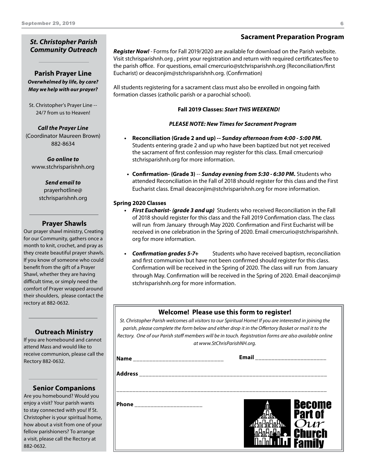# *St. Christopher Parish Community Outreach*

# **Parish Prayer Line** *Overwhelmed by life, by care? May we help with our prayer?*

St. Christopher's Prayer Line -- 24/7 from us to Heaven!

*Call the Prayer Line* (Coordinator Maureen Brown) 882-8634

*Go online to* www.stchrisparishnh.org

# *Send email to*

prayerhotline@ stchrisparishnh.org

# **Prayer Shawls**

Our prayer shawl ministry, Creating for our Community, gathers once a month to knit, crochet, and pray as they create beautiful prayer shawls. If you know of someone who could benefit from the gift of a Prayer Shawl, whether they are having difficult time, or simply need the comfort of Prayer wrapped around their shoulders, please contact the rectory at 882-0632.

# **Outreach Ministry**

If you are homebound and cannot attend Mass and would like to receive communion, please call the Rectory 882-0632.

# **Senior Companions**

Are you homebound? Would you enjoy a visit? Your parish wants to stay connected with you! If St. Christopher is your spiritual home, how about a visit from one of your fellow parishioners? To arrange a visit, please call the Rectory at 882-0632.

# **Sacrament Preparation Program**

*Register Now! -* Forms for Fall 2019/2020 are available for download on the Parish website. Visit stchrisparishnh.org , print your registration and return with required certificates/fee to the parish office. For questions, email cmercurio@stchrisparishnh.org (Reconciliation/first Eucharist) or deaconjim@stchrisparishnh.org. (Confirmation)

All students registering for a sacrament class must also be enrolled in ongoing faith formation classes (catholic parish or a parochial school).

# **Fall 2019 Classes:** *Start THIS WEEKEND!*

# *PLEASE NOTE: New Times for Sacrament Program*

- **• Reconciliation (Grade 2 and up) --** *Sunday afternoon from 4:00 5:00 PM.*  Students entering grade 2 and up who have been baptized but not yet received the sacrament of first confession may register for this class. Email cmercurio@ stchrisparishnh.org for more information.
- **• Confirmation- (Grade 3)** -- *Sunday evening from 5:30 6:30 PM.* Students who attended Reconciliation in the Fall of 2018 should register for this class and the First Eucharist class. Email deaconjim@stchrisparishnh.org for more information.

# **Spring 2020 Classes**

- **•**  *First Eucharist- (grade 3 and up)* Students who received Reconciliation in the Fall of 2018 should register for this class and the Fall 2019 Confirmation class. The class will run from January through May 2020. Confirmation and First Eucharist will be received in one celebration in the Spring of 2020. Email cmercurio@stchrisparishnh. org for more information.
- **•**  *Confirmation grades 5-7+* Students who have received baptism, reconciliation and first communion but have not been confirmed should register for this class. Confirmation will be received in the Spring of 2020. The class will run from January through May. Confirmation will be received in the Spring of 2020. Email deaconjim@ stchrisparishnh.org for more information.

# **Welcome! Please use this form to register!**

*St. Christopher Parish welcomes all visitors to our Spiritual Home! If you are interested in joining the parish, please complete the form below and either drop it in the Offertory Basket or mail it to the Rectory. One of our Parish staff members will be in touch. Registration forms are also available online at www.StChrisParishNH.org.*

| $\sqrt{\mathsf{Name}}$<br>_____________________________ | <b>Email</b><br>______________________ |                                 |
|---------------------------------------------------------|----------------------------------------|---------------------------------|
|                                                         |                                        |                                 |
| Phone                                                   | п                                      | Become<br><b>Part of</b><br>Our |